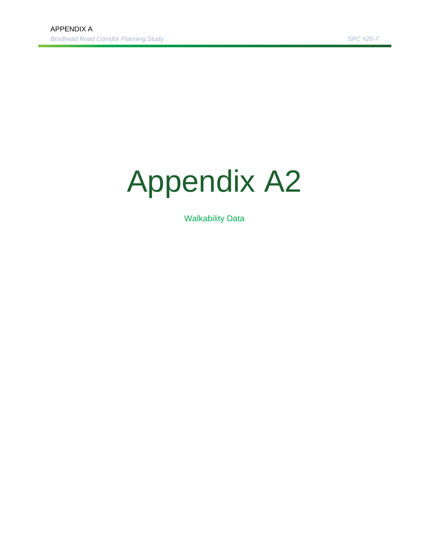# Appendix A2

Walkability Data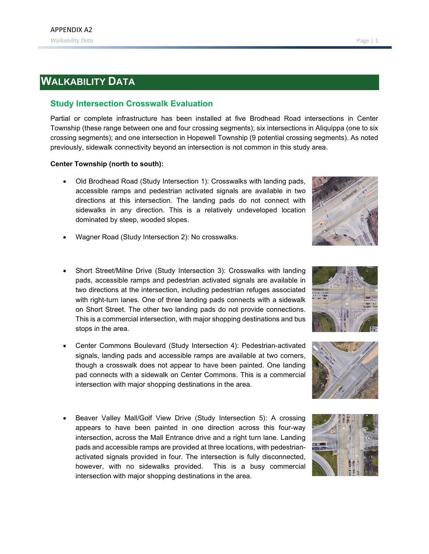## **WALKABILITY DATA**

#### **Study Intersection Crosswalk Evaluation**

Partial or complete infrastructure has been installed at five Brodhead Road intersections in Center Township (these range between one and four crossing segments); six intersections in Aliquippa (one to six crossing segments); and one intersection in Hopewell Township (9 potential crossing segments). As noted previously, sidewalk connectivity beyond an intersection is not common in this study area.

#### **Center Township (north to south):**

• Old Brodhead Road (Study Intersection 1): Crosswalks with landing pads, accessible ramps and pedestrian activated signals are available in two directions at this intersection. The landing pads do not connect with sidewalks in any direction. This is a relatively undeveloped location dominated by steep, wooded slopes.



- Wagner Road (Study Intersection 2): No crosswalks.
- Short Street/Milne Drive (Study Intersection 3): Crosswalks with landing pads, accessible ramps and pedestrian activated signals are available in two directions at the intersection, including pedestrian refuges associated with right-turn lanes. One of three landing pads connects with a sidewalk on Short Street. The other two landing pads do not provide connections. This is a commercial intersection, with major shopping destinations and bus stops in the area.
- Center Commons Boulevard (Study Intersection 4): Pedestrian-activated signals, landing pads and accessible ramps are available at two corners, though a crosswalk does not appear to have been painted. One landing pad connects with a sidewalk on Center Commons. This is a commercial intersection with major shopping destinations in the area.
- Beaver Valley Mall/Golf View Drive (Study Intersection 5): A crossing appears to have been painted in one direction across this four-way intersection, across the Mall Entrance drive and a right turn lane. Landing pads and accessible ramps are provided at three locations, with pedestrianactivated signals provided in four. The intersection is fully disconnected, however, with no sidewalks provided. This is a busy commercial intersection with major shopping destinations in the area.





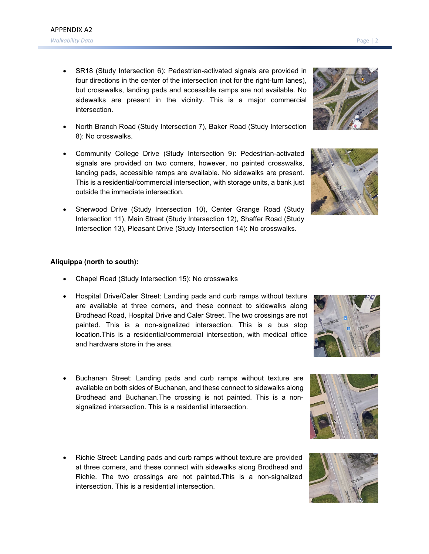- SR18 (Study Intersection 6): Pedestrian-activated signals are provided in four directions in the center of the intersection (not for the right-turn lanes), but crosswalks, landing pads and accessible ramps are not available. No sidewalks are present in the vicinity. This is a major commercial intersection.
- North Branch Road (Study Intersection 7), Baker Road (Study Intersection 8): No crosswalks.
- Community College Drive (Study Intersection 9): Pedestrian-activated signals are provided on two corners, however, no painted crosswalks, landing pads, accessible ramps are available. No sidewalks are present. This is a residential/commercial intersection, with storage units, a bank just outside the immediate intersection.
- Sherwood Drive (Study Intersection 10), Center Grange Road (Study Intersection 11), Main Street (Study Intersection 12), Shaffer Road (Study Intersection 13), Pleasant Drive (Study Intersection 14): No crosswalks.

#### **Aliquippa (north to south):**

- Chapel Road (Study Intersection 15): No crosswalks
- Hospital Drive/Caler Street: Landing pads and curb ramps without texture are available at three corners, and these connect to sidewalks along Brodhead Road, Hospital Drive and Caler Street. The two crossings are not painted. This is a non-signalized intersection. This is a bus stop location.This is a residential/commercial intersection, with medical office and hardware store in the area.
- Buchanan Street: Landing pads and curb ramps without texture are available on both sides of Buchanan, and these connect to sidewalks along Brodhead and Buchanan.The crossing is not painted. This is a nonsignalized intersection. This is a residential intersection.
- Richie Street: Landing pads and curb ramps without texture are provided at three corners, and these connect with sidewalks along Brodhead and Richie. The two crossings are not painted.This is a non-signalized intersection. This is a residential intersection.









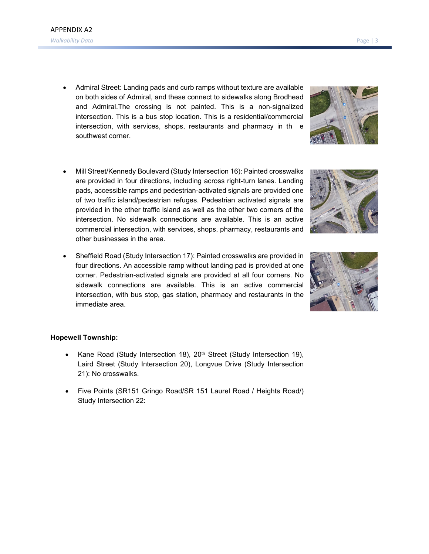- Admiral Street: Landing pads and curb ramps without texture are available on both sides of Admiral, and these connect to sidewalks along Brodhead and Admiral.The crossing is not painted. This is a non-signalized intersection. This is a bus stop location. This is a residential/commercial intersection, with services, shops, restaurants and pharmacy in th e southwest corner.
- Mill Street/Kennedy Boulevard (Study Intersection 16): Painted crosswalks are provided in four directions, including across right-turn lanes. Landing pads, accessible ramps and pedestrian-activated signals are provided one of two traffic island/pedestrian refuges. Pedestrian activated signals are provided in the other traffic island as well as the other two corners of the intersection. No sidewalk connections are available. This is an active commercial intersection, with services, shops, pharmacy, restaurants and other businesses in the area.
- Sheffield Road (Study Intersection 17): Painted crosswalks are provided in four directions. An accessible ramp without landing pad is provided at one corner. Pedestrian-activated signals are provided at all four corners. No sidewalk connections are available. This is an active commercial intersection, with bus stop, gas station, pharmacy and restaurants in the immediate area.

### **Hopewell Township:**

- Kane Road (Study Intersection 18), 20<sup>th</sup> Street (Study Intersection 19), Laird Street (Study Intersection 20), Longvue Drive (Study Intersection 21): No crosswalks.
- Five Points (SR151 Gringo Road/SR 151 Laurel Road / Heights Road/) Study Intersection 22:





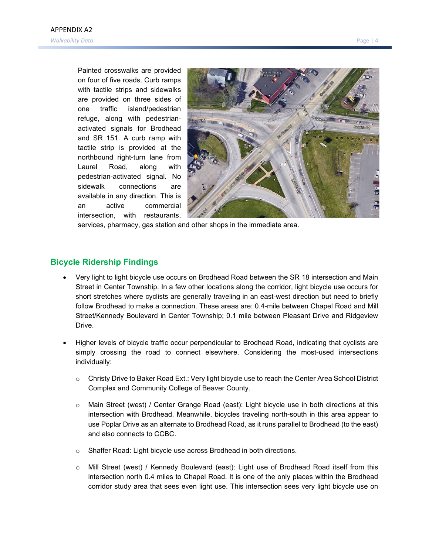Painted crosswalks are provided on four of five roads. Curb ramps with tactile strips and sidewalks are provided on three sides of one traffic island/pedestrian refuge, along with pedestrianactivated signals for Brodhead and SR 151. A curb ramp with tactile strip is provided at the northbound right-turn lane from Laurel Road, along with pedestrian-activated signal. No sidewalk connections are available in any direction. This is an active commercial intersection, with restaurants,



services, pharmacy, gas station and other shops in the immediate area.

#### **Bicycle Ridership Findings**

- Very light to light bicycle use occurs on Brodhead Road between the SR 18 intersection and Main Street in Center Township. In a few other locations along the corridor, light bicycle use occurs for short stretches where cyclists are generally traveling in an east-west direction but need to briefly follow Brodhead to make a connection. These areas are: 0.4-mile between Chapel Road and Mill Street/Kennedy Boulevard in Center Township; 0.1 mile between Pleasant Drive and Ridgeview Drive.
- Higher levels of bicycle traffic occur perpendicular to Brodhead Road, indicating that cyclists are simply crossing the road to connect elsewhere. Considering the most-used intersections individually:
	- $\circ$  Christy Drive to Baker Road Ext.: Very light bicycle use to reach the Center Area School District Complex and Community College of Beaver County.
	- o Main Street (west) / Center Grange Road (east): Light bicycle use in both directions at this intersection with Brodhead. Meanwhile, bicycles traveling north-south in this area appear to use Poplar Drive as an alternate to Brodhead Road, as it runs parallel to Brodhead (to the east) and also connects to CCBC.
	- o Shaffer Road: Light bicycle use across Brodhead in both directions.
	- o Mill Street (west) / Kennedy Boulevard (east): Light use of Brodhead Road itself from this intersection north 0.4 miles to Chapel Road. It is one of the only places within the Brodhead corridor study area that sees even light use. This intersection sees very light bicycle use on